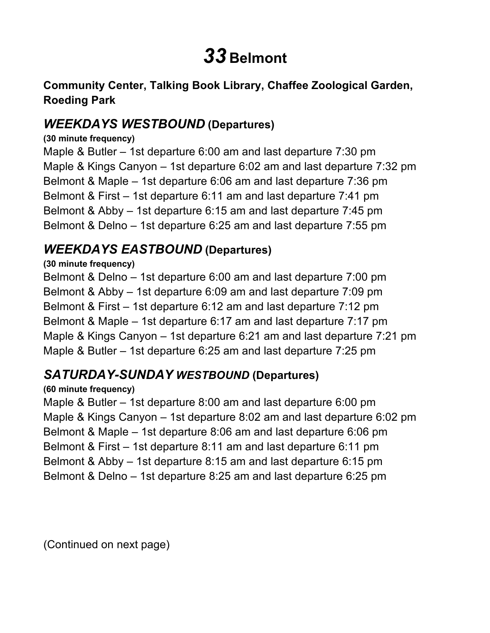# *33* **Belmont**

#### **Community Center, Talking Book Library, Chaffee Zoological Garden, Roeding Park**

## *WEEKDAYS WESTBOUND* **(Departures)**

#### **(30 minute frequency)**

 Maple & Butler – 1st departure 6:00 am and last departure 7:30 pm Maple & Kings Canyon – 1st departure 6:02 am and last departure 7:32 pm Belmont & Maple – 1st departure 6:06 am and last departure 7:36 pm Belmont & First – 1st departure 6:11 am and last departure 7:41 pm Belmont & Abby – 1st departure 6:15 am and last departure 7:45 pm Belmont & Delno – 1st departure 6:25 am and last departure 7:55 pm

## *WEEKDAYS EASTBOUND* **(Departures)**

#### **(30 minute frequency)**

 Belmont & Delno – 1st departure 6:00 am and last departure 7:00 pm Belmont & Abby – 1st departure 6:09 am and last departure 7:09 pm Belmont & First – 1st departure 6:12 am and last departure 7:12 pm Belmont & Maple – 1st departure 6:17 am and last departure 7:17 pm Maple & Kings Canyon – 1st departure 6:21 am and last departure 7:21 pm Maple & Butler – 1st departure 6:25 am and last departure 7:25 pm

### *SATURDAY-SUNDAY WESTBOUND* **(Departures)**

#### **(60 minute frequency)**

 Maple & Butler – 1st departure 8:00 am and last departure 6:00 pm Maple & Kings Canyon – 1st departure 8:02 am and last departure 6:02 pm Belmont & Maple – 1st departure 8:06 am and last departure 6:06 pm Belmont & First – 1st departure 8:11 am and last departure 6:11 pm Belmont & Abby – 1st departure 8:15 am and last departure 6:15 pm Belmont & Delno – 1st departure 8:25 am and last departure 6:25 pm

(Continued on next page)